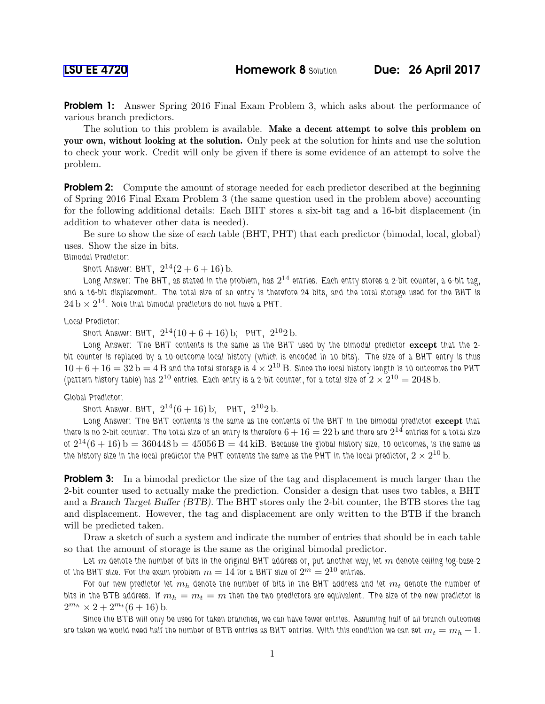**Problem 1:** Answer Spring 2016 Final Exam Problem 3, which asks about the performance of various branch predictors.

The solution to this problem is available. Make a decent attempt to solve this problem on your own, without looking at the solution. Only peek at the solution for hints and use the solution to check your work. Credit will only be given if there is some evidence of an attempt to solve the problem.

**Problem 2:** Compute the amount of storage needed for each predictor described at the beginning of Spring 2016 Final Exam Problem 3 (the same question used in the problem above) accounting for the following additional details: Each BHT stores a six-bit tag and a 16-bit displacement (in addition to whatever other data is needed).

Be sure to show the size of each table (BHT, PHT) that each predictor (bimodal, local, global) uses. Show the size in bits.

Bimodal Predictor:

Short Answer: BHT,  $2^{14}(2+6+16)$  b.

Long Answer: The BHT, as stated in the problem, has  $2^{14}$  entries. Each entry stores a 2-bit counter, a 6-bit tag, and a 16-bit displacement. The total size of an entry is therefore 24 bits, and the total storage used for the BHT is  $24\,\mathrm{b}\times2^{14}.$  Note that bimodal predictors do not have a PHT.

Local Predictor:

Short Answer: BHT,  $2^{14}(10+6+16)$  b; PHT,  $2^{10}2$  b.

Long Answer: The BHT contents is the same as the BHT used by the bimodal predictor except that the 2bit counter is replaced by a 10-outcome local history (which is encoded in 10 bits). The size of a BHT entry is thus  $10+6+16=32$  b  $=4$  B and the total storage is  $4\times2^{10}$  B. Since the local history length is 10 outcomes the PHT (pattern history table) has  $2^{10}$  entries. Each entry is a 2-bit counter, for a total size of  $2\times 2^{10}=2048$  b.

Global Predictor:

Short Answer. BHT,  $2^{14}(6+16)$  b; PHT,  $2^{10}2$  b.

Long Answer: The BHT contents is the same as the contents of the BHT in the bimodal predictor except that there is no 2-bit counter. The total size of an entry is therefore  $6+16=22\,\rm{b}$  and there are  $2^{14}$  entries for a total size of  $2^{14}(6+16)$   $\rm b=360448$   $\rm b=45056$   $\rm B=44$  ki $\rm B$ . Because the global history size, 10 outcomes, is the same as the history size in the local predictor the PHT contents the same as the PHT in the local predictor,  $2\times2^{10}$  b.

**Problem 3:** In a bimodal predictor the size of the tag and displacement is much larger than the 2-bit counter used to actually make the prediction. Consider a design that uses two tables, a BHT and a Branch Target Buffer (BTB). The BHT stores only the 2-bit counter, the BTB stores the tag and displacement. However, the tag and displacement are only written to the BTB if the branch will be predicted taken.

Draw a sketch of such a system and indicate the number of entries that should be in each table so that the amount of storage is the same as the original bimodal predictor.

Let m denote the number of bits in the original BHT address or, put another way, let m denote ceiling log-base-2 of the BHT size. For the exam problem  $m=14$  for a BHT size of  $2^m=2^{10}$  entries.

For our new predictor let  $m_h$  denote the number of bits in the BHT address and let  $m_t$  denote the number of bits in the BTB address. If  $m_h = m_t = m$  then the two predictors are equivalent. The size of the new predictor is  $2^{m_h} \times 2 + 2^{m_t} (6 + 16)$  b.

Since the BTB will only be used for taken branches, we can have fewer entries. Assuming half of all branch outcomes are taken we would need half the number of BTB entries as BHT entries. With this condition we can set  $m_t = m_h - 1$ .